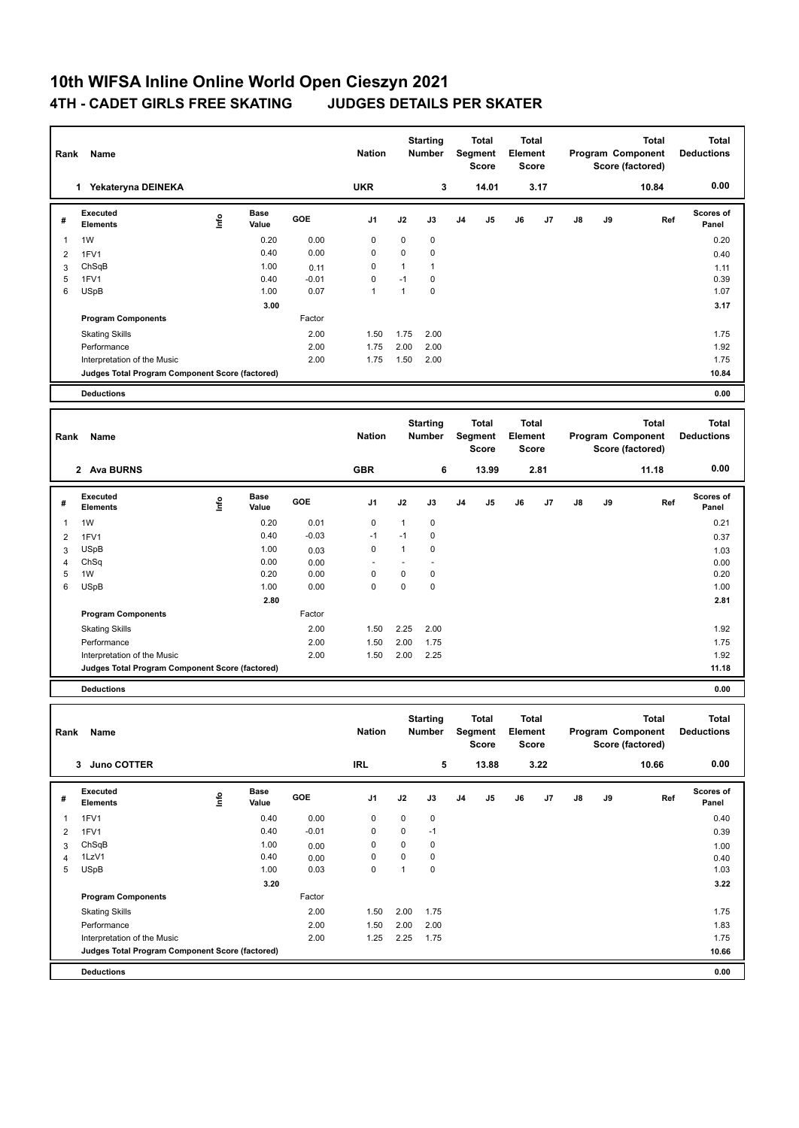## **10th WIFSA Inline Online World Open Cieszyn 2021 4TH - CADET GIRLS FREE SKATING JUDGES DETAILS PER SKATER**

| Rank           | Name                                                                           |      |                      |                 | <b>Nation</b> |                      | <b>Starting</b><br><b>Number</b> |                | <b>Total</b><br><b>Segment</b><br><b>Score</b> | Element | <b>Total</b><br><b>Score</b> |               |    | <b>Total</b><br>Program Component<br>Score (factored) | <b>Total</b><br><b>Deductions</b> |
|----------------|--------------------------------------------------------------------------------|------|----------------------|-----------------|---------------|----------------------|----------------------------------|----------------|------------------------------------------------|---------|------------------------------|---------------|----|-------------------------------------------------------|-----------------------------------|
|                | 1 Yekateryna DEINEKA                                                           |      |                      |                 | <b>UKR</b>    |                      | 3                                |                | 14.01                                          |         | 3.17                         |               |    | 10.84                                                 | 0.00                              |
| #              | Executed<br><b>Elements</b>                                                    | ١nf٥ | <b>Base</b><br>Value | GOE             | J1            | J2                   | J3                               | J <sub>4</sub> | J5                                             | J6      | J7                           | $\mathsf{J}8$ | J9 | Ref                                                   | <b>Scores of</b><br>Panel         |
| 1              | 1W                                                                             |      | 0.20                 | 0.00            | 0             | 0                    | 0                                |                |                                                |         |                              |               |    |                                                       | 0.20                              |
| 2              | 1FV1                                                                           |      | 0.40                 | 0.00            | 0             | 0                    | $\pmb{0}$                        |                |                                                |         |                              |               |    |                                                       | 0.40                              |
| 3<br>5         | ChSqB<br>1FV1                                                                  |      | 1.00<br>0.40         | 0.11<br>$-0.01$ | 0<br>0        | $\mathbf{1}$<br>$-1$ | $\mathbf{1}$<br>$\pmb{0}$        |                |                                                |         |                              |               |    |                                                       | 1.11<br>0.39                      |
| 6              | <b>USpB</b>                                                                    |      | 1.00                 | 0.07            | 1             | $\mathbf{1}$         | $\mathbf 0$                      |                |                                                |         |                              |               |    |                                                       | 1.07                              |
|                |                                                                                |      | 3.00                 |                 |               |                      |                                  |                |                                                |         |                              |               |    |                                                       | 3.17                              |
|                | <b>Program Components</b>                                                      |      |                      | Factor          |               |                      |                                  |                |                                                |         |                              |               |    |                                                       |                                   |
|                | <b>Skating Skills</b>                                                          |      |                      | 2.00            | 1.50          | 1.75                 | 2.00                             |                |                                                |         |                              |               |    |                                                       | 1.75                              |
|                | Performance                                                                    |      |                      | 2.00            | 1.75          | 2.00                 | 2.00                             |                |                                                |         |                              |               |    |                                                       | 1.92                              |
|                | Interpretation of the Music                                                    |      |                      | 2.00            | 1.75          | 1.50                 | 2.00                             |                |                                                |         |                              |               |    |                                                       | 1.75                              |
|                | Judges Total Program Component Score (factored)                                |      |                      |                 |               |                      |                                  |                |                                                |         |                              |               |    |                                                       | 10.84                             |
|                | <b>Deductions</b>                                                              |      |                      |                 |               |                      |                                  |                |                                                |         |                              |               |    |                                                       | 0.00                              |
|                |                                                                                |      |                      |                 |               |                      |                                  |                |                                                |         | <b>Total</b>                 |               |    | <b>Total</b>                                          | <b>Total</b>                      |
| Rank           | Name                                                                           |      |                      |                 | <b>Nation</b> |                      | <b>Starting</b><br><b>Number</b> |                | <b>Total</b><br><b>Segment</b><br><b>Score</b> | Element | <b>Score</b>                 |               |    | Program Component<br>Score (factored)                 | <b>Deductions</b>                 |
|                | 2 Ava BURNS                                                                    |      |                      |                 | <b>GBR</b>    |                      | 6                                |                | 13.99                                          |         | 2.81                         |               |    | 11.18                                                 | 0.00                              |
| #              | <b>Executed</b><br><b>Elements</b>                                             | Info | Base<br>Value        | <b>GOE</b>      | J1            | J2                   | J3                               | J <sub>4</sub> | J5                                             | J6      | J7                           | J8            | J9 | Ref                                                   | <b>Scores of</b><br>Panel         |
| $\mathbf{1}$   | 1W                                                                             |      | 0.20                 | 0.01            | 0             | $\mathbf{1}$         | $\pmb{0}$                        |                |                                                |         |                              |               |    |                                                       | 0.21                              |
| $\overline{2}$ | 1FV1                                                                           |      | 0.40                 | $-0.03$         | $-1$          | $-1$                 | $\mathbf 0$                      |                |                                                |         |                              |               |    |                                                       | 0.37                              |
| 3              | <b>USpB</b>                                                                    |      | 1.00                 | 0.03            | $\mathbf 0$   | $\mathbf{1}$         | $\mathbf 0$                      |                |                                                |         |                              |               |    |                                                       | 1.03                              |
| 4              | ChSq                                                                           |      | 0.00                 | 0.00            |               | $\blacksquare$       | ä,                               |                |                                                |         |                              |               |    |                                                       | 0.00                              |
| 5              | 1W                                                                             |      | 0.20                 | 0.00            | 0             | 0                    | $\pmb{0}$                        |                |                                                |         |                              |               |    |                                                       | 0.20                              |
| 6              | <b>USpB</b>                                                                    |      | 1.00                 | 0.00            | $\Omega$      | 0                    | $\mathbf 0$                      |                |                                                |         |                              |               |    |                                                       | 1.00                              |
|                |                                                                                |      | 2.80                 |                 |               |                      |                                  |                |                                                |         |                              |               |    |                                                       | 2.81                              |
|                | <b>Program Components</b>                                                      |      |                      | Factor          |               |                      |                                  |                |                                                |         |                              |               |    |                                                       |                                   |
|                | <b>Skating Skills</b>                                                          |      |                      | 2.00            | 1.50          | 2.25                 | 2.00                             |                |                                                |         |                              |               |    |                                                       | 1.92                              |
|                | Performance                                                                    |      |                      | 2.00<br>2.00    | 1.50          | 2.00                 | 1.75<br>2.25                     |                |                                                |         |                              |               |    |                                                       | 1.75                              |
|                | Interpretation of the Music<br>Judges Total Program Component Score (factored) |      |                      |                 | 1.50          | 2.00                 |                                  |                |                                                |         |                              |               |    |                                                       | 1.92<br>11.18                     |
|                | <b>Deductions</b>                                                              |      |                      |                 |               |                      |                                  |                |                                                |         |                              |               |    |                                                       | 0.00                              |
|                |                                                                                |      |                      |                 |               |                      |                                  |                |                                                |         |                              |               |    |                                                       |                                   |
|                | Rank Name                                                                      |      |                      |                 | Nation        |                      | <b>Starting</b><br>Number        |                | <b>Total</b><br>Segment<br>Score               | Element | <b>Total</b><br>Score        |               |    | <b>Total</b><br>Program Component<br>Score (factored) | <b>Total</b><br><b>Deductions</b> |
|                | 3 Juno COTTER                                                                  |      |                      |                 | <b>IRL</b>    |                      | 5                                |                | 13.88                                          |         | 3.22                         |               |    | 10.66                                                 | 0.00                              |
| #              | Executed<br>Elements                                                           | ١nfo | <b>Base</b><br>Value | GOE             | J1            | J2                   | J3                               | J4             | J5                                             | J6      | J7                           | $\mathsf{J}8$ | J9 | Ref                                                   | Scores of<br>Panel                |
| 1              | 1FV1                                                                           |      | 0.40                 | 0.00            | 0             | 0                    | $\pmb{0}$                        |                |                                                |         |                              |               |    |                                                       | 0.40                              |
| $\overline{2}$ | 1FV1                                                                           |      | 0.40                 | $-0.01$         | 0             | 0                    | $-1$                             |                |                                                |         |                              |               |    |                                                       | 0.39                              |
| 3              | ChSqB                                                                          |      | 1.00                 | 0.00            | 0             | 0                    | $\pmb{0}$                        |                |                                                |         |                              |               |    |                                                       | 1.00                              |
| 4              | 1LzV1                                                                          |      | 0.40                 | 0.00            | 0             | 0                    | $\pmb{0}$                        |                |                                                |         |                              |               |    |                                                       | 0.40                              |
| 5              | <b>USpB</b>                                                                    |      | 1.00                 | 0.03            | $\mathbf 0$   | $\mathbf{1}$         | $\pmb{0}$                        |                |                                                |         |                              |               |    |                                                       | 1.03                              |
|                |                                                                                |      | 3.20                 |                 |               |                      |                                  |                |                                                |         |                              |               |    |                                                       | 3.22                              |
|                | <b>Program Components</b>                                                      |      |                      | Factor          |               |                      |                                  |                |                                                |         |                              |               |    |                                                       |                                   |
|                | <b>Skating Skills</b>                                                          |      |                      | 2.00            | 1.50          | 2.00                 | 1.75                             |                |                                                |         |                              |               |    |                                                       | 1.75                              |
|                | Performance                                                                    |      |                      | 2.00            | 1.50          | 2.00                 | 2.00                             |                |                                                |         |                              |               |    |                                                       | 1.83                              |
|                | Interpretation of the Music                                                    |      |                      | 2.00            | 1.25          | 2.25                 | 1.75                             |                |                                                |         |                              |               |    |                                                       | 1.75                              |
|                | Judges Total Program Component Score (factored)                                |      |                      |                 |               |                      |                                  |                |                                                |         |                              |               |    |                                                       | 10.66                             |
|                | <b>Deductions</b>                                                              |      |                      |                 |               |                      |                                  |                |                                                |         |                              |               |    |                                                       | 0.00                              |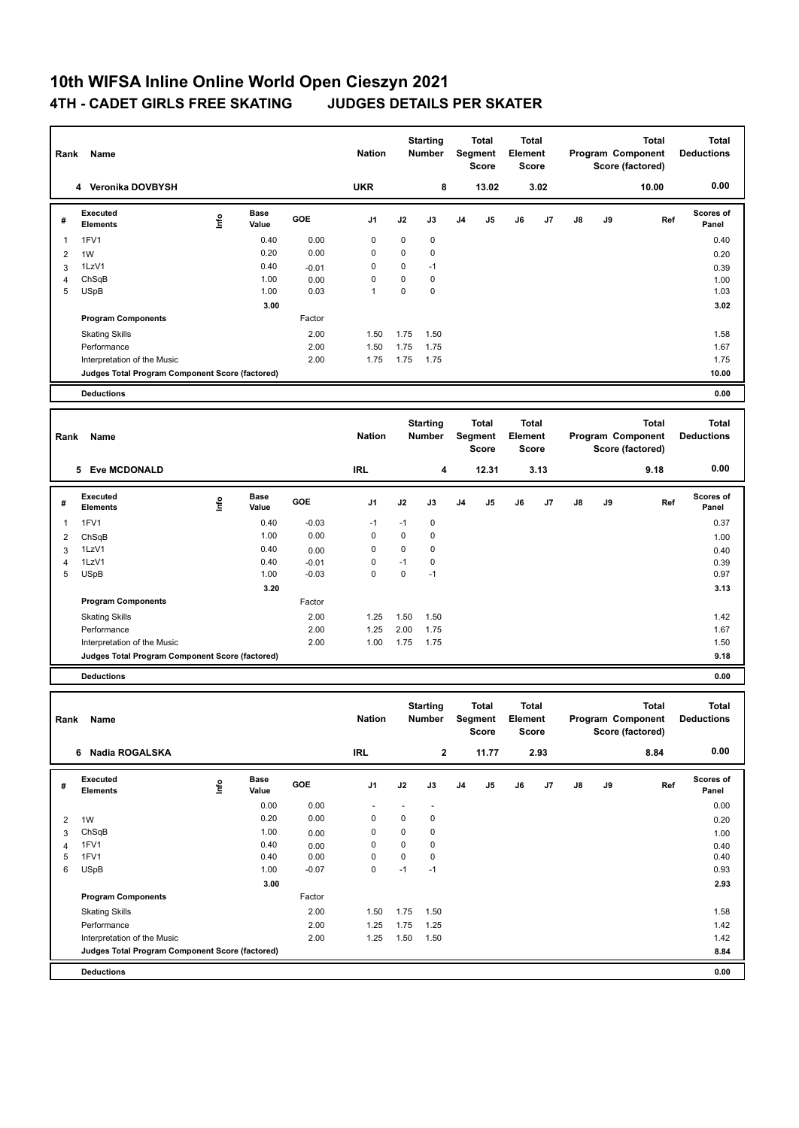## **10th WIFSA Inline Online World Open Cieszyn 2021 4TH - CADET GIRLS FREE SKATING JUDGES DETAILS PER SKATER**

| Rank           | Name                                            |                                  |                      |                    | <b>Nation</b>    |                | <b>Starting</b><br><b>Number</b> |                | Total<br>Segment<br><b>Score</b>        | <b>Total</b><br>Element<br>Score        |      |    |    | Total<br>Program Component<br>Score (factored)        | <b>Total</b><br><b>Deductions</b> |
|----------------|-------------------------------------------------|----------------------------------|----------------------|--------------------|------------------|----------------|----------------------------------|----------------|-----------------------------------------|-----------------------------------------|------|----|----|-------------------------------------------------------|-----------------------------------|
|                | 4 Veronika DOVBYSH                              |                                  |                      |                    | <b>UKR</b>       |                | 8                                |                | 13.02                                   |                                         | 3.02 |    |    | 10.00                                                 | 0.00                              |
| #              | Executed<br><b>Elements</b>                     | Info                             | <b>Base</b><br>Value | GOE                | J <sub>1</sub>   | J2             | J3                               | J <sub>4</sub> | J5                                      | J6                                      | J7   | J8 | J9 | Ref                                                   | <b>Scores of</b><br>Panel         |
| 1              | 1FV1                                            |                                  | 0.40                 | 0.00               | 0                | 0              | $\pmb{0}$                        |                |                                         |                                         |      |    |    |                                                       | 0.40                              |
| 2              | 1W                                              |                                  | 0.20                 | 0.00               | 0                | 0              | $\pmb{0}$                        |                |                                         |                                         |      |    |    |                                                       | 0.20                              |
| 3              | 1LzV1                                           |                                  | 0.40                 | $-0.01$            | 0                | 0<br>0         | $-1$                             |                |                                         |                                         |      |    |    |                                                       | 0.39                              |
| 4<br>5         | ChSqB<br><b>USpB</b>                            |                                  | 1.00<br>1.00         | 0.00<br>0.03       | 0<br>1           | 0              | $\pmb{0}$<br>$\pmb{0}$           |                |                                         |                                         |      |    |    |                                                       | 1.00<br>1.03                      |
|                |                                                 |                                  | 3.00                 |                    |                  |                |                                  |                |                                         |                                         |      |    |    |                                                       | 3.02                              |
|                | <b>Program Components</b>                       |                                  |                      | Factor             |                  |                |                                  |                |                                         |                                         |      |    |    |                                                       |                                   |
|                | <b>Skating Skills</b>                           |                                  |                      | 2.00               | 1.50             | 1.75           | 1.50                             |                |                                         |                                         |      |    |    |                                                       | 1.58                              |
|                | Performance                                     |                                  |                      | 2.00               | 1.50             | 1.75           | 1.75                             |                |                                         |                                         |      |    |    |                                                       | 1.67                              |
|                | Interpretation of the Music                     |                                  |                      | 2.00               | 1.75             | 1.75           | 1.75                             |                |                                         |                                         |      |    |    |                                                       | 1.75                              |
|                | Judges Total Program Component Score (factored) |                                  |                      |                    |                  |                |                                  |                |                                         |                                         |      |    |    |                                                       | 10.00                             |
|                | <b>Deductions</b>                               |                                  |                      |                    |                  |                |                                  |                |                                         |                                         |      |    |    |                                                       | 0.00                              |
| Rank           | Name                                            |                                  |                      |                    | <b>Nation</b>    |                | <b>Starting</b><br><b>Number</b> |                | <b>Total</b><br>Segment<br>Score        | <b>Total</b><br>Element<br><b>Score</b> |      |    |    | <b>Total</b><br>Program Component<br>Score (factored) | <b>Total</b><br><b>Deductions</b> |
|                | 5 Eve MCDONALD                                  |                                  |                      |                    | <b>IRL</b>       |                | 4                                |                | 12.31                                   |                                         | 3.13 |    |    | 9.18                                                  | 0.00                              |
| #              | Executed<br><b>Elements</b>                     | ١nfo                             | Base<br>Value        | GOE                | J <sub>1</sub>   | J2             | J3                               | J4             | J5                                      | J6                                      | J7   | J8 | J9 | Ref                                                   | <b>Scores of</b><br>Panel         |
| 1              | 1FV1                                            |                                  | 0.40                 | $-0.03$            | $-1$             | $-1$           | $\pmb{0}$                        |                |                                         |                                         |      |    |    |                                                       | 0.37                              |
| $\overline{2}$ | ChSqB                                           |                                  | 1.00                 | 0.00               | 0                | 0              | $\pmb{0}$                        |                |                                         |                                         |      |    |    |                                                       | 1.00                              |
| 3              | 1LzV1                                           |                                  | 0.40                 | 0.00               | $\mathbf 0$      | 0              | $\mathbf 0$                      |                |                                         |                                         |      |    |    |                                                       | 0.40                              |
| 4<br>5         | 1LzV1<br><b>USpB</b>                            |                                  | 0.40<br>1.00         | $-0.01$<br>$-0.03$ | 0<br>$\mathbf 0$ | $-1$<br>0      | $\pmb{0}$<br>$-1$                |                |                                         |                                         |      |    |    |                                                       | 0.39<br>0.97                      |
|                |                                                 |                                  | 3.20                 |                    |                  |                |                                  |                |                                         |                                         |      |    |    |                                                       | 3.13                              |
|                | <b>Program Components</b>                       |                                  |                      | Factor             |                  |                |                                  |                |                                         |                                         |      |    |    |                                                       |                                   |
|                | <b>Skating Skills</b>                           |                                  |                      | 2.00               | 1.25             | 1.50           | 1.50                             |                |                                         |                                         |      |    |    |                                                       | 1.42                              |
|                | Performance                                     |                                  |                      | 2.00               | 1.25             | 2.00           | 1.75                             |                |                                         |                                         |      |    |    |                                                       | 1.67                              |
|                | Interpretation of the Music                     |                                  |                      | 2.00               | 1.00             | 1.75           | 1.75                             |                |                                         |                                         |      |    |    |                                                       | 1.50                              |
|                | Judges Total Program Component Score (factored) |                                  |                      |                    |                  |                |                                  |                |                                         |                                         |      |    |    |                                                       | 9.18                              |
|                | <b>Deductions</b>                               |                                  |                      |                    |                  |                |                                  |                |                                         |                                         |      |    |    |                                                       | 0.00                              |
| Rank           | Name                                            |                                  |                      |                    | <b>Nation</b>    |                | <b>Starting</b><br><b>Number</b> |                | <b>Total</b><br>Segment<br><b>Score</b> | <b>Total</b><br>Element<br>Score        |      |    |    | <b>Total</b><br>Program Component<br>Score (factored) | <b>Total</b><br><b>Deductions</b> |
|                | 6 Nadia ROGALSKA                                |                                  |                      |                    | <b>IRL</b>       |                | $\mathbf{2}$                     |                | 11.77                                   |                                         | 2.93 |    |    | 8.84                                                  | 0.00                              |
| #              | Executed<br><b>Elements</b>                     | $\mathop{\mathsf{Irr}}\nolimits$ | Base<br>Value        | GOE                | J1               | J2             | J3                               | J4             | J5                                      | J6                                      | J7   | J8 | J9 | Ref                                                   | Scores of<br>Panel                |
|                |                                                 |                                  | 0.00                 | 0.00               | $\sim$           | $\blacksquare$ | $\overline{\phantom{a}}$         |                |                                         |                                         |      |    |    |                                                       | 0.00                              |
| 2              | 1W                                              |                                  | 0.20                 | 0.00               | 0                | 0              | $\pmb{0}$                        |                |                                         |                                         |      |    |    |                                                       | 0.20                              |
| 3              | ChSqB                                           |                                  | 1.00                 | 0.00               | 0                | 0              | $\pmb{0}$                        |                |                                         |                                         |      |    |    |                                                       | 1.00                              |
| 4<br>5         | 1FV1<br>1FV1                                    |                                  | 0.40<br>0.40         | 0.00<br>0.00       | 0<br>0           | 0<br>0         | $\pmb{0}$<br>$\pmb{0}$           |                |                                         |                                         |      |    |    |                                                       | 0.40<br>0.40                      |
|                |                                                 |                                  |                      |                    |                  |                |                                  |                |                                         |                                         |      |    |    |                                                       |                                   |
| 6              | <b>USpB</b>                                     |                                  | 1.00                 | $-0.07$            | 0                | $-1$           | $-1$                             |                |                                         |                                         |      |    |    |                                                       | 0.93                              |

 **3.00** 2.93 **Program Components**  Skating Skills 1.50 1.75 1.50 2.00 1.58 Factor Performance 2.00 1.25 1.75 1.25 1.42 Interpretation of the Music 2.00 1.25 1.50 1.50 1.50 1.50 1.42 **Judges Total Program Component Score (factored) 8.84**

**Deductions 0.00**